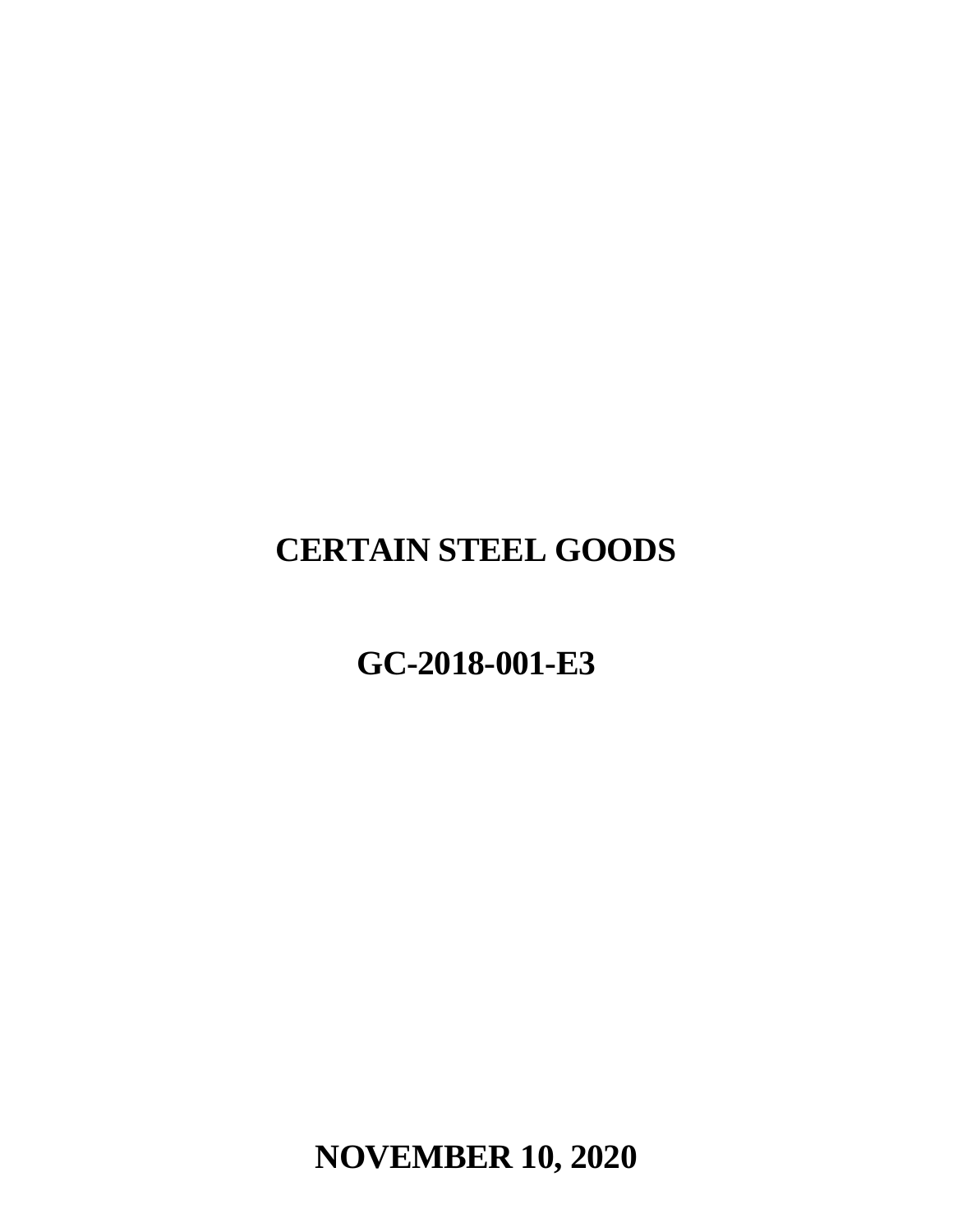# **CERTAIN STEEL GOODS**

# **GC-2018-001-E3**

**NOVEMBER 10, 2020**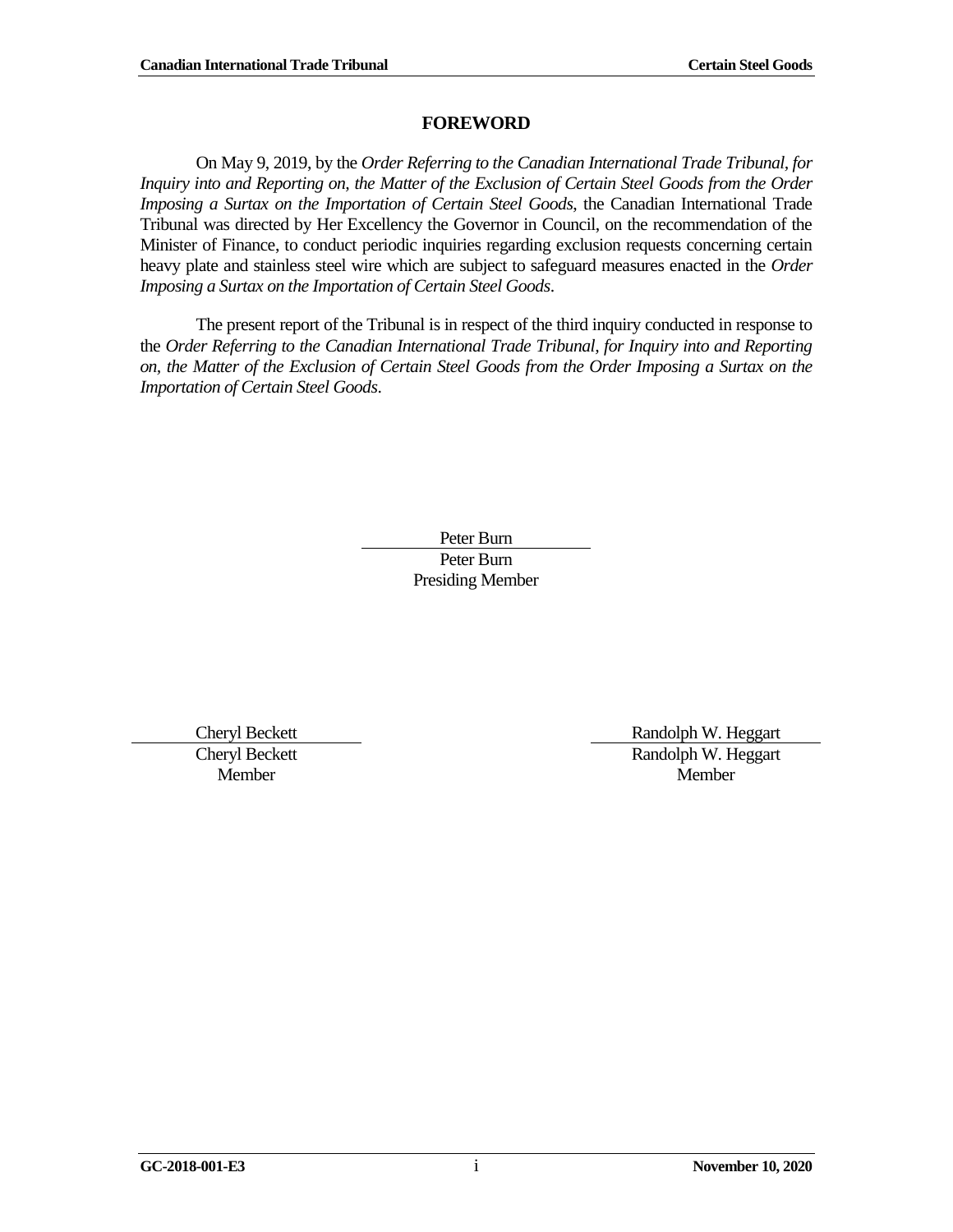#### **FOREWORD**

<span id="page-2-0"></span>On May 9, 2019, by the *Order Referring to the Canadian International Trade Tribunal, for Inquiry into and Reporting on, the Matter of the Exclusion of Certain Steel Goods from the Order Imposing a Surtax on the Importation of Certain Steel Goods*, the Canadian International Trade Tribunal was directed by Her Excellency the Governor in Council, on the recommendation of the Minister of Finance, to conduct periodic inquiries regarding exclusion requests concerning certain heavy plate and stainless steel wire which are subject to safeguard measures enacted in the *Order Imposing a Surtax on the Importation of Certain Steel Goods*.

The present report of the Tribunal is in respect of the third inquiry conducted in response to the *Order Referring to the Canadian International Trade Tribunal, for Inquiry into and Reporting on, the Matter of the Exclusion of Certain Steel Goods from the Order Imposing a Surtax on the Importation of Certain Steel Goods*.

> Peter Burn Peter Burn Presiding Member

Cheryl Beckett Member

Cheryl Beckett **Randolph W. Heggart** Randolph W. Heggart Member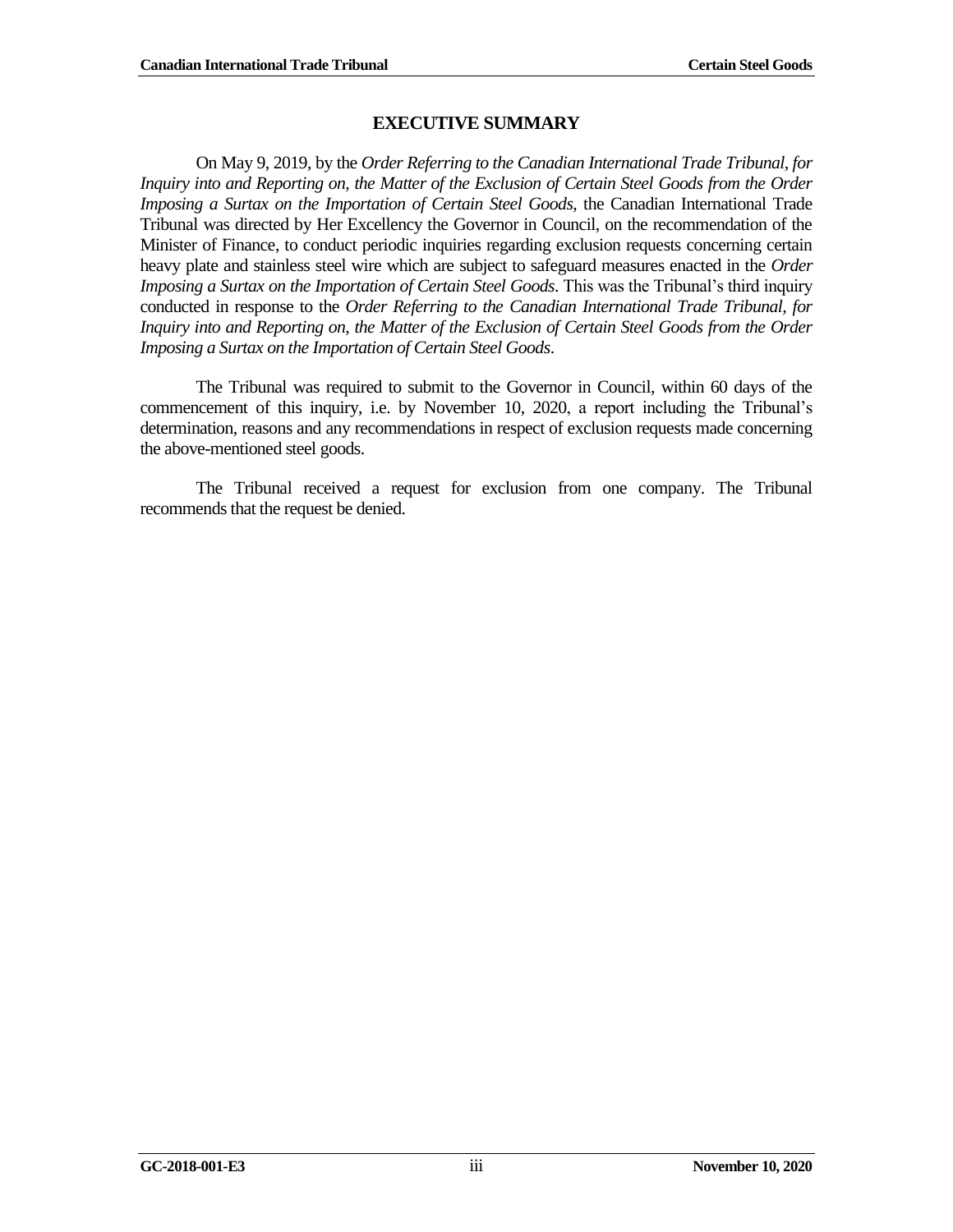#### **EXECUTIVE SUMMARY**

<span id="page-4-0"></span>On May 9, 2019, by the *Order Referring to the Canadian International Trade Tribunal, for Inquiry into and Reporting on, the Matter of the Exclusion of Certain Steel Goods from the Order Imposing a Surtax on the Importation of Certain Steel Goods*, the Canadian International Trade Tribunal was directed by Her Excellency the Governor in Council, on the recommendation of the Minister of Finance, to conduct periodic inquiries regarding exclusion requests concerning certain heavy plate and stainless steel wire which are subject to safeguard measures enacted in the *Order Imposing a Surtax on the Importation of Certain Steel Goods*. This was the Tribunal's third inquiry conducted in response to the *Order Referring to the Canadian International Trade Tribunal, for Inquiry into and Reporting on, the Matter of the Exclusion of Certain Steel Goods from the Order Imposing a Surtax on the Importation of Certain Steel Goods*.

The Tribunal was required to submit to the Governor in Council, within 60 days of the commencement of this inquiry, i.e. by November 10, 2020, a report including the Tribunal's determination, reasons and any recommendations in respect of exclusion requests made concerning the above-mentioned steel goods.

The Tribunal received a request for exclusion from one company. The Tribunal recommends that the request be denied.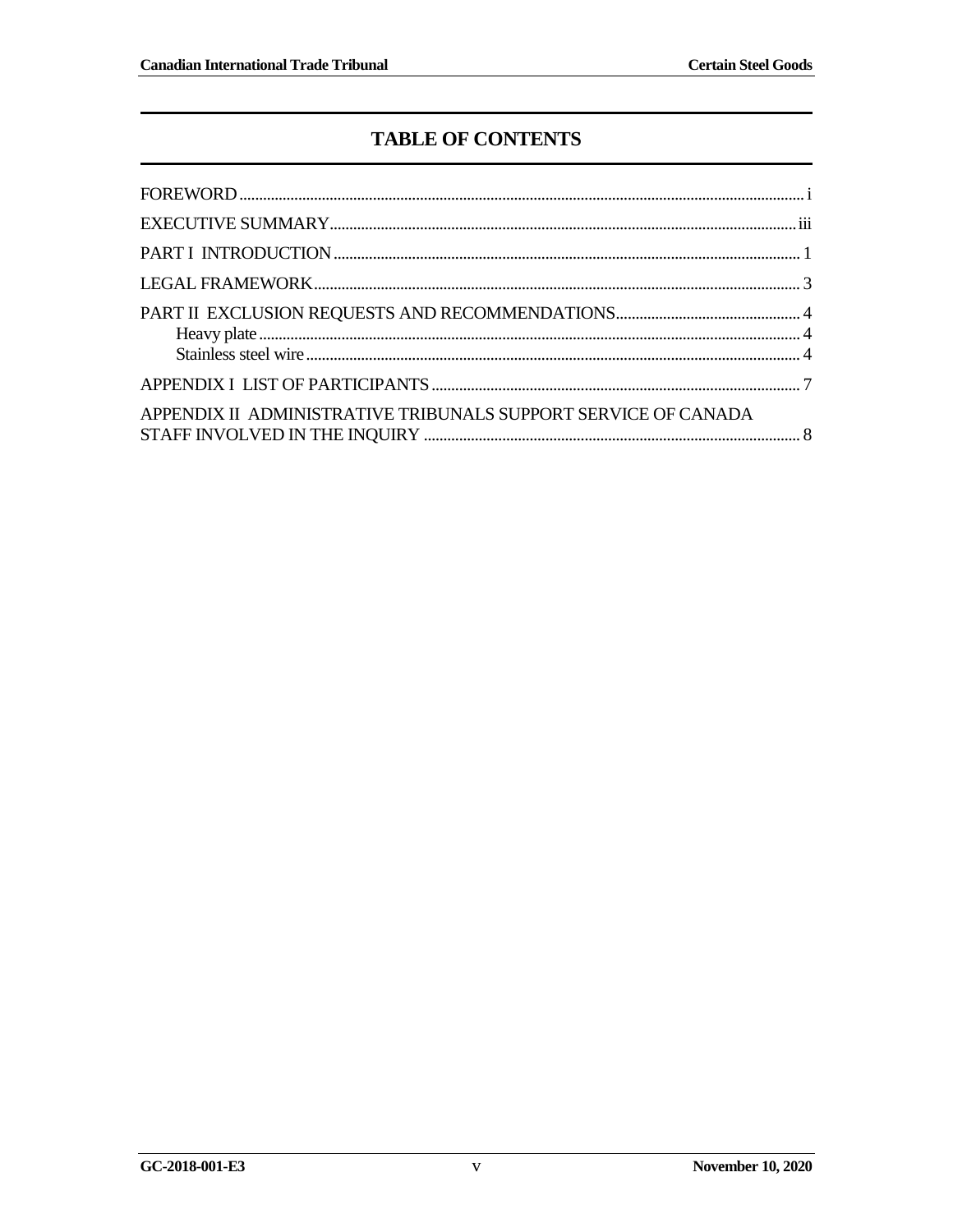## **TABLE OF CONTENTS**

| APPENDIX II ADMINISTRATIVE TRIBUNALS SUPPORT SERVICE OF CANADA |  |
|----------------------------------------------------------------|--|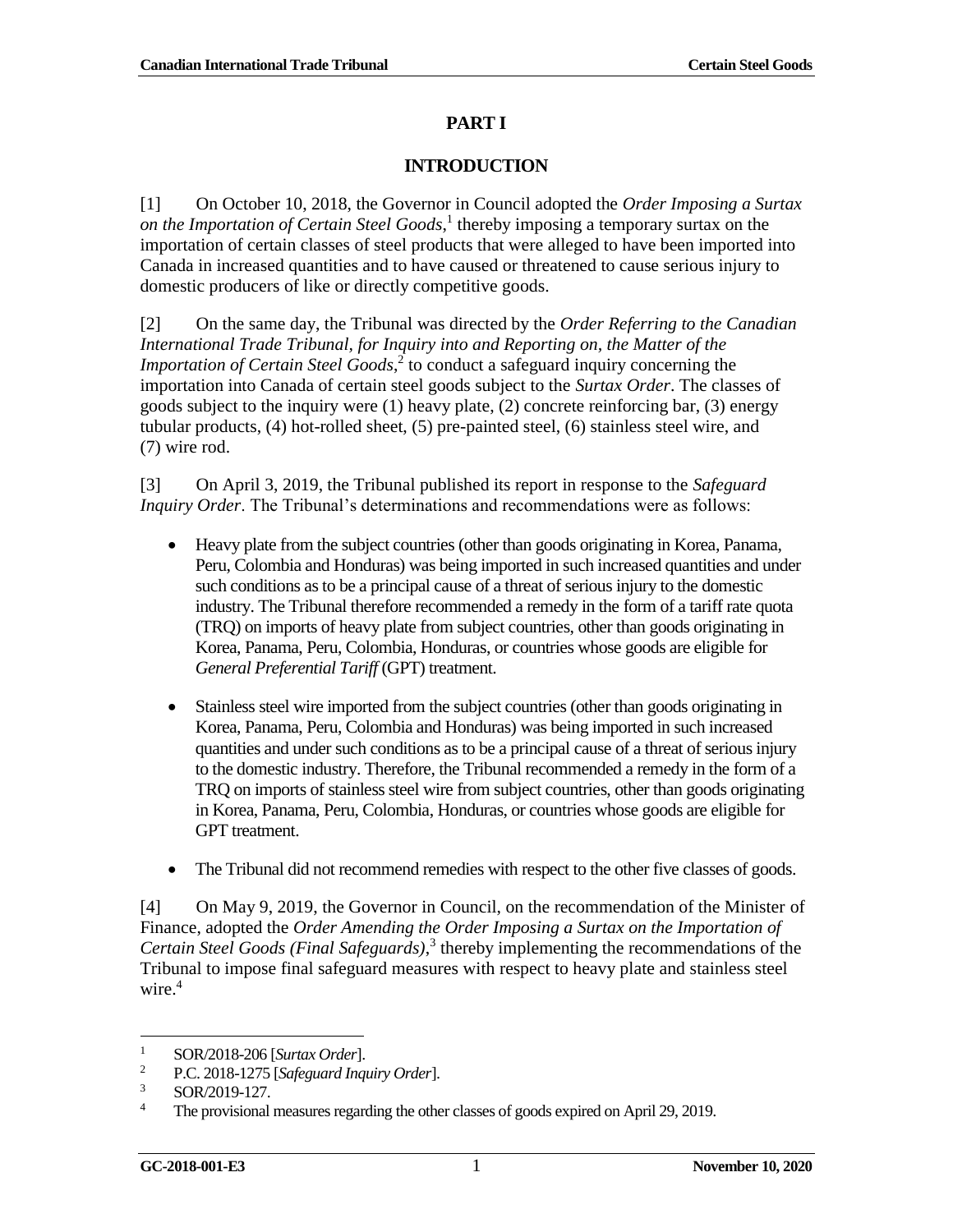#### **PART I**

#### **INTRODUCTION**

<span id="page-8-0"></span>[1] On October 10, 2018, the Governor in Council adopted the *Order Imposing a Surtax on the Importation of Certain Steel Goods*, 1 thereby imposing a temporary surtax on the importation of certain classes of steel products that were alleged to have been imported into Canada in increased quantities and to have caused or threatened to cause serious injury to domestic producers of like or directly competitive goods.

[2] On the same day, the Tribunal was directed by the *Order Referring to the Canadian International Trade Tribunal, for Inquiry into and Reporting on, the Matter of the Importation of Certain Steel Goods*, 2 to conduct a safeguard inquiry concerning the importation into Canada of certain steel goods subject to the *Surtax Order*. The classes of goods subject to the inquiry were (1) heavy plate, (2) concrete reinforcing bar, (3) energy tubular products, (4) hot-rolled sheet, (5) pre-painted steel, (6) stainless steel wire, and (7) wire rod.

[3] On April 3, 2019, the Tribunal published its report in response to the *Safeguard Inquiry Order*. The Tribunal's determinations and recommendations were as follows:

- Heavy plate from the subject countries (other than goods originating in Korea, Panama, Peru, Colombia and Honduras) was being imported in such increased quantities and under such conditions as to be a principal cause of a threat of serious injury to the domestic industry. The Tribunal therefore recommended a remedy in the form of a tariff rate quota (TRQ) on imports of heavy plate from subject countries, other than goods originating in Korea, Panama, Peru, Colombia, Honduras, or countries whose goods are eligible for *General Preferential Tariff* (GPT) treatment.
- Stainless steel wire imported from the subject countries (other than goods originating in Korea, Panama, Peru, Colombia and Honduras) was being imported in such increased quantities and under such conditions as to be a principal cause of a threat of serious injury to the domestic industry. Therefore, the Tribunal recommended a remedy in the form of a TRQ on imports of stainless steel wire from subject countries, other than goods originating in Korea, Panama, Peru, Colombia, Honduras, or countries whose goods are eligible for GPT treatment.
- The Tribunal did not recommend remedies with respect to the other five classes of goods.

[4] On May 9, 2019, the Governor in Council, on the recommendation of the Minister of Finance, adopted the *Order Amending the Order Imposing a Surtax on the Importation of Certain Steel Goods (Final Safeguards)*, 3 thereby implementing the recommendations of the Tribunal to impose final safeguard measures with respect to heavy plate and stainless steel wire. 4

l <sup>1</sup> SOR/2018-206 [*Surtax Order*].<br><sup>2</sup> PC 2018-1275 [*Safeguard Ingr*]

<sup>2</sup> P.C. 2018-1275 [*Safeguard Inquiry Order*].

 $\frac{3}{4}$  SOR/2019-127.

<sup>4</sup> The provisional measures regarding the other classes of goods expired on April 29, 2019.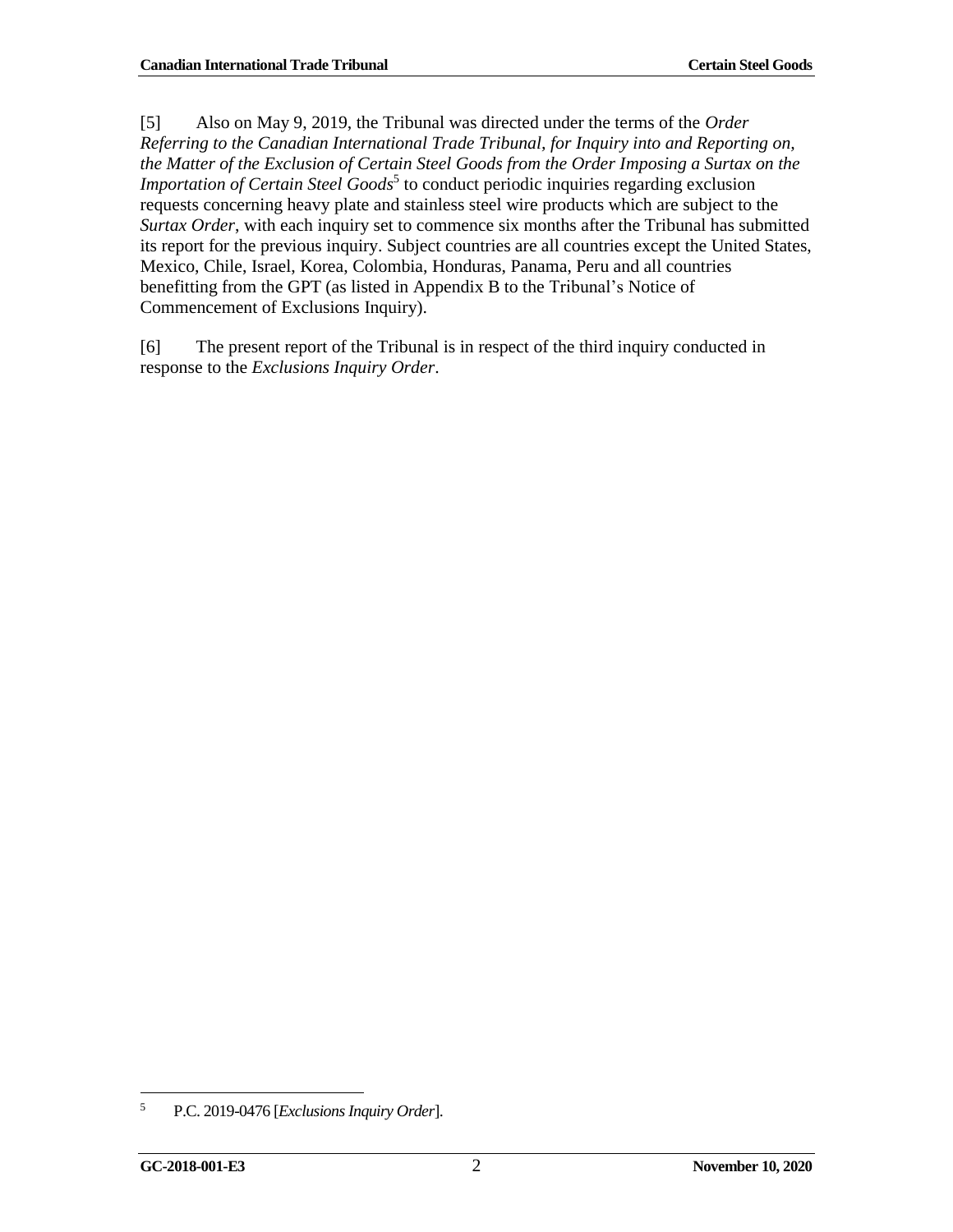[5] Also on May 9, 2019, the Tribunal was directed under the terms of the *Order Referring to the Canadian International Trade Tribunal, for Inquiry into and Reporting on, the Matter of the Exclusion of Certain Steel Goods from the Order Imposing a Surtax on the Importation of Certain Steel Goods*<sup>5</sup> to conduct periodic inquiries regarding exclusion requests concerning heavy plate and stainless steel wire products which are subject to the *Surtax Order*, with each inquiry set to commence six months after the Tribunal has submitted its report for the previous inquiry. Subject countries are all countries except the United States, Mexico, Chile, Israel, Korea, Colombia, Honduras, Panama, Peru and all countries benefitting from the GPT (as listed in Appendix B to the Tribunal's Notice of Commencement of Exclusions Inquiry).

[6] The present report of the Tribunal is in respect of the third inquiry conducted in response to the *Exclusions Inquiry Order*.

 <sup>5</sup> P.C. 2019-0476 [*Exclusions Inquiry Order*].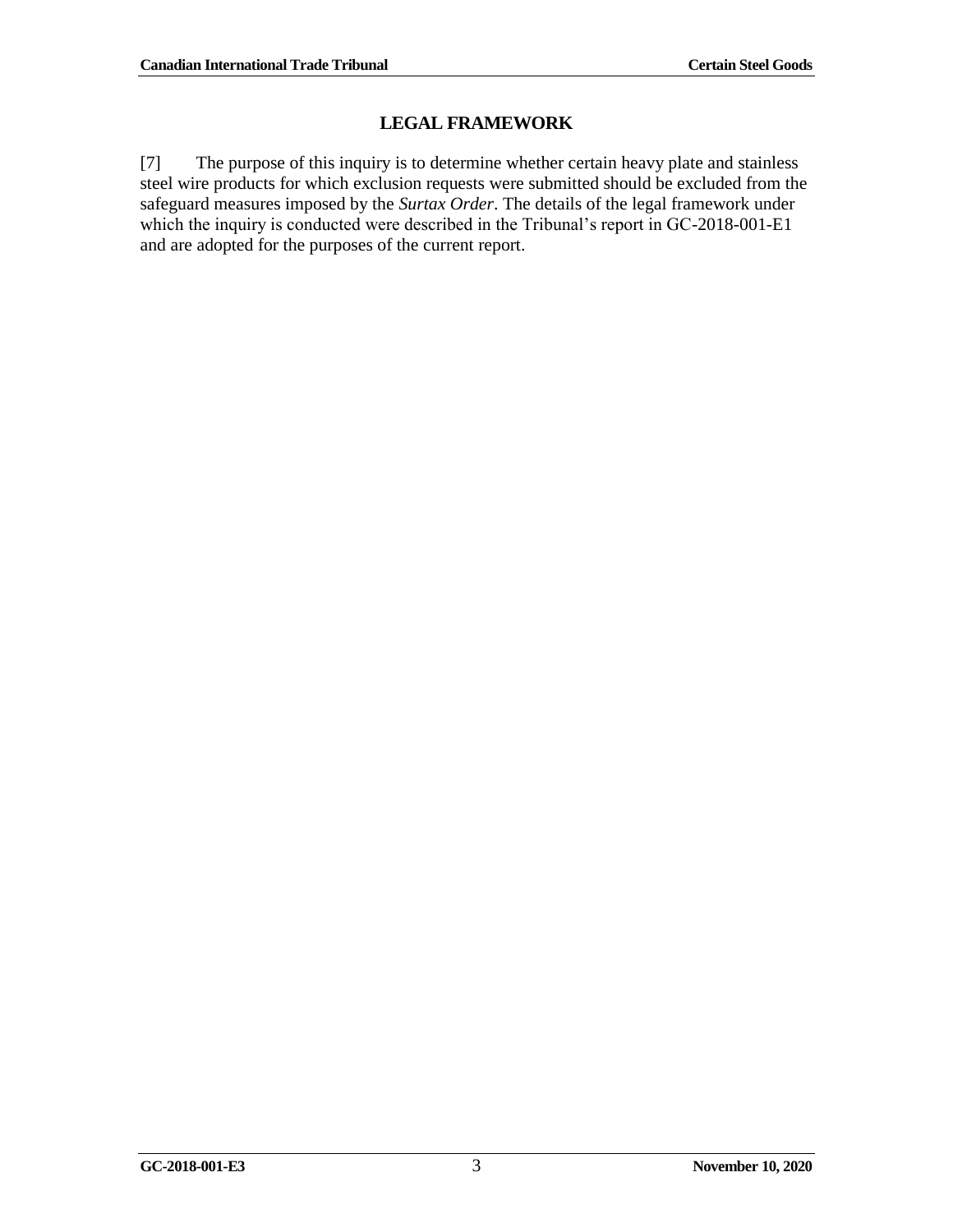## **LEGAL FRAMEWORK**

<span id="page-10-0"></span>[7] The purpose of this inquiry is to determine whether certain heavy plate and stainless steel wire products for which exclusion requests were submitted should be excluded from the safeguard measures imposed by the *Surtax Order*. The details of the legal framework under which the inquiry is conducted were described in the Tribunal's report in GC-2018-001-E1 and are adopted for the purposes of the current report.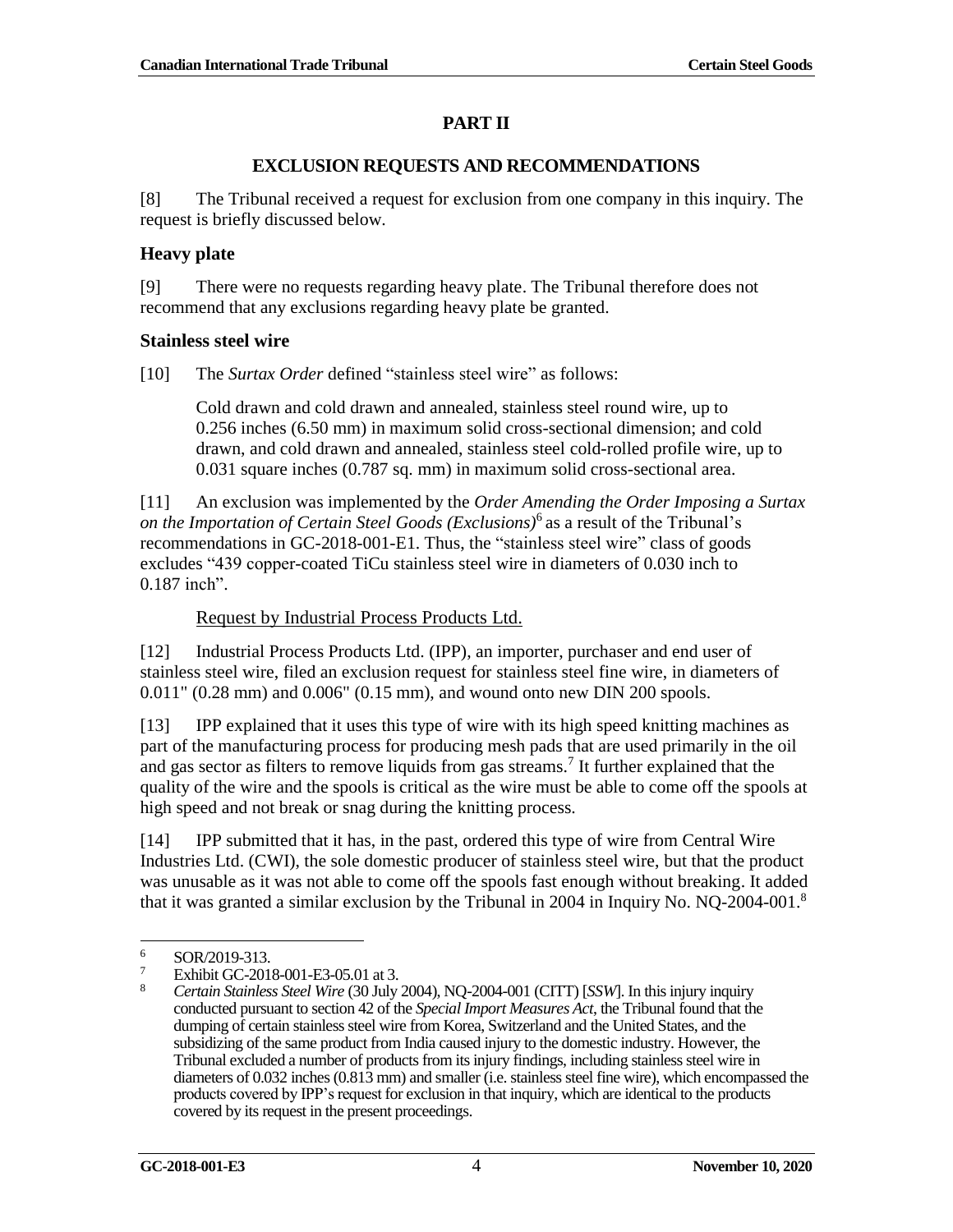### **PART II**

#### **EXCLUSION REQUESTS AND RECOMMENDATIONS**

<span id="page-11-0"></span>[8] The Tribunal received a request for exclusion from one company in this inquiry. The request is briefly discussed below.

#### <span id="page-11-1"></span>**Heavy plate**

[9] There were no requests regarding heavy plate. The Tribunal therefore does not recommend that any exclusions regarding heavy plate be granted.

#### <span id="page-11-2"></span>**Stainless steel wire**

[10] The *Surtax Order* defined "stainless steel wire" as follows:

Cold drawn and cold drawn and annealed, stainless steel round wire, up to 0.256 inches (6.50 mm) in maximum solid cross-sectional dimension; and cold drawn, and cold drawn and annealed, stainless steel cold-rolled profile wire, up to 0.031 square inches (0.787 sq. mm) in maximum solid cross-sectional area.

[11] An exclusion was implemented by the *Order Amending the Order Imposing a Surtax on the Importation of Certain Steel Goods (Exclusions)*<sup>6</sup> as a result of the Tribunal's recommendations in GC-2018-001-E1. Thus, the "stainless steel wire" class of goods excludes "439 copper-coated TiCu stainless steel wire in diameters of 0.030 inch to 0.187 inch".

#### Request by Industrial Process Products Ltd.

[12] Industrial Process Products Ltd. (IPP), an importer, purchaser and end user of stainless steel wire, filed an exclusion request for stainless steel fine wire, in diameters of 0.011" (0.28 mm) and 0.006" (0.15 mm), and wound onto new DIN 200 spools.

[13] IPP explained that it uses this type of wire with its high speed knitting machines as part of the manufacturing process for producing mesh pads that are used primarily in the oil and gas sector as filters to remove liquids from gas streams.<sup>7</sup> It further explained that the quality of the wire and the spools is critical as the wire must be able to come off the spools at high speed and not break or snag during the knitting process.

[14] IPP submitted that it has, in the past, ordered this type of wire from Central Wire Industries Ltd. (CWI), the sole domestic producer of stainless steel wire, but that the product was unusable as it was not able to come off the spools fast enough without breaking. It added that it was granted a similar exclusion by the Tribunal in 2004 in Inquiry No. NQ-2004-001. 8

  $\frac{6}{7}$  SOR/2019-313.

 $\frac{7}{8}$  Exhibit GC-2018-001-E3-05.01 at 3.

<sup>8</sup> *Certain Stainless Steel Wire* (30 July 2004), NQ-2004-001 (CITT) [*SSW*]. In this injury inquiry conducted pursuant to section 42 of the *Special Import Measures Act*, the Tribunal found that the dumping of certain stainless steel wire from Korea, Switzerland and the United States, and the subsidizing of the same product from India caused injury to the domestic industry. However, the Tribunal excluded a number of products from its injury findings, including stainless steel wire in diameters of 0.032 inches (0.813 mm) and smaller (i.e. stainless steel fine wire), which encompassed the products covered by IPP's request for exclusion in that inquiry, which are identical to the products covered by its request in the present proceedings.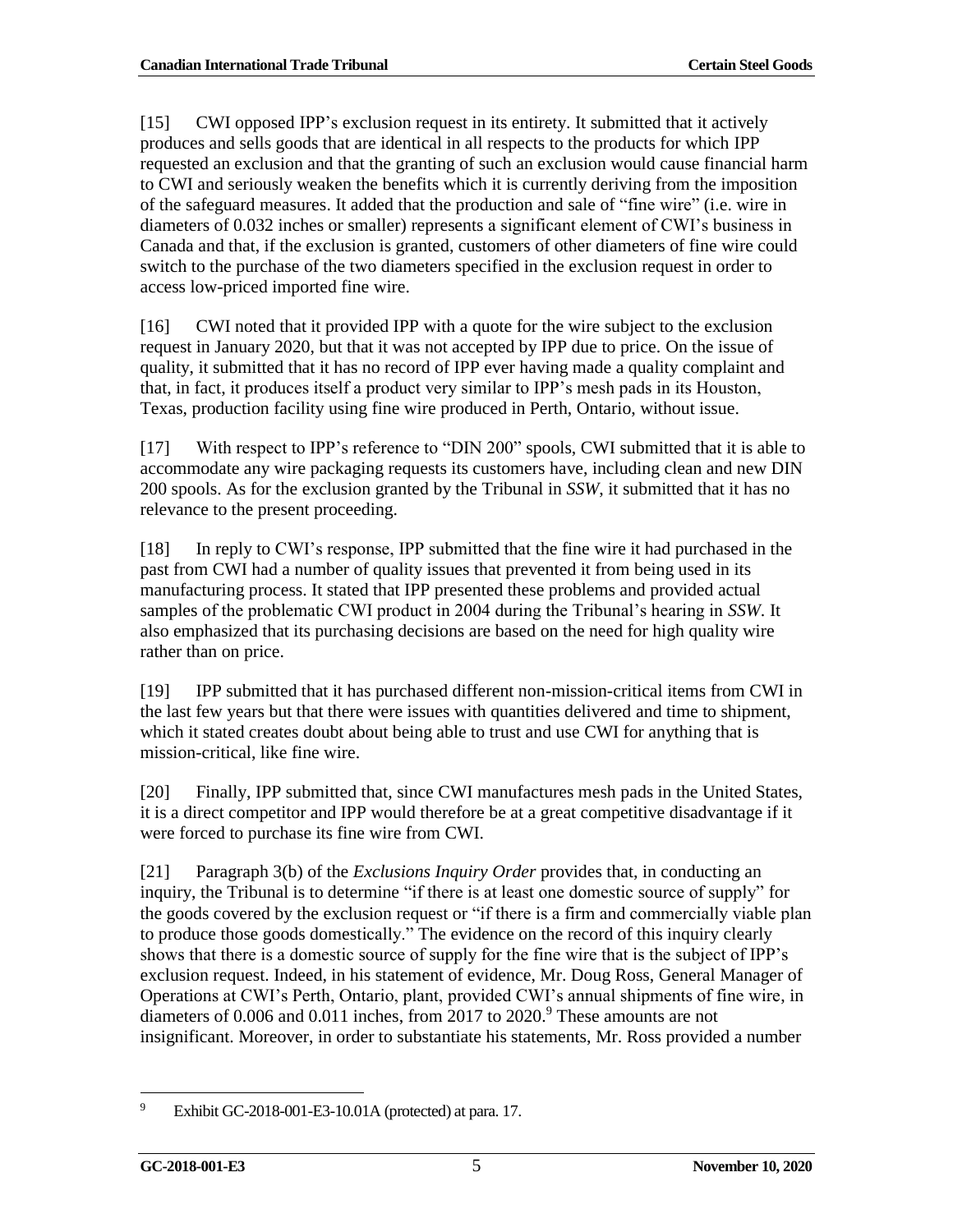[15] CWI opposed IPP's exclusion request in its entirety. It submitted that it actively produces and sells goods that are identical in all respects to the products for which IPP requested an exclusion and that the granting of such an exclusion would cause financial harm to CWI and seriously weaken the benefits which it is currently deriving from the imposition of the safeguard measures. It added that the production and sale of "fine wire" (i.e. wire in diameters of 0.032 inches or smaller) represents a significant element of CWI's business in Canada and that, if the exclusion is granted, customers of other diameters of fine wire could switch to the purchase of the two diameters specified in the exclusion request in order to access low-priced imported fine wire.

[16] CWI noted that it provided IPP with a quote for the wire subject to the exclusion request in January 2020, but that it was not accepted by IPP due to price. On the issue of quality, it submitted that it has no record of IPP ever having made a quality complaint and that, in fact, it produces itself a product very similar to IPP's mesh pads in its Houston, Texas, production facility using fine wire produced in Perth, Ontario, without issue.

[17] With respect to IPP's reference to "DIN 200" spools, CWI submitted that it is able to accommodate any wire packaging requests its customers have, including clean and new DIN 200 spools. As for the exclusion granted by the Tribunal in *SSW*, it submitted that it has no relevance to the present proceeding.

[18] In reply to CWI's response, IPP submitted that the fine wire it had purchased in the past from CWI had a number of quality issues that prevented it from being used in its manufacturing process. It stated that IPP presented these problems and provided actual samples of the problematic CWI product in 2004 during the Tribunal's hearing in *SSW*. It also emphasized that its purchasing decisions are based on the need for high quality wire rather than on price.

[19] IPP submitted that it has purchased different non-mission-critical items from CWI in the last few years but that there were issues with quantities delivered and time to shipment, which it stated creates doubt about being able to trust and use CWI for anything that is mission-critical, like fine wire.

[20] Finally, IPP submitted that, since CWI manufactures mesh pads in the United States, it is a direct competitor and IPP would therefore be at a great competitive disadvantage if it were forced to purchase its fine wire from CWI.

[21] Paragraph 3(b) of the *Exclusions Inquiry Order* provides that, in conducting an inquiry, the Tribunal is to determine "if there is at least one domestic source of supply" for the goods covered by the exclusion request or "if there is a firm and commercially viable plan to produce those goods domestically." The evidence on the record of this inquiry clearly shows that there is a domestic source of supply for the fine wire that is the subject of IPP's exclusion request. Indeed, in his statement of evidence, Mr. Doug Ross, General Manager of Operations at CWI's Perth, Ontario, plant, provided CWI's annual shipments of fine wire, in diameters of 0.006 and 0.011 inches, from 2017 to 2020.<sup>9</sup> These amounts are not insignificant. Moreover, in order to substantiate his statements, Mr. Ross provided a number

 <sup>9</sup> Exhibit GC-2018-001-E3-10.01A (protected) at para. 17.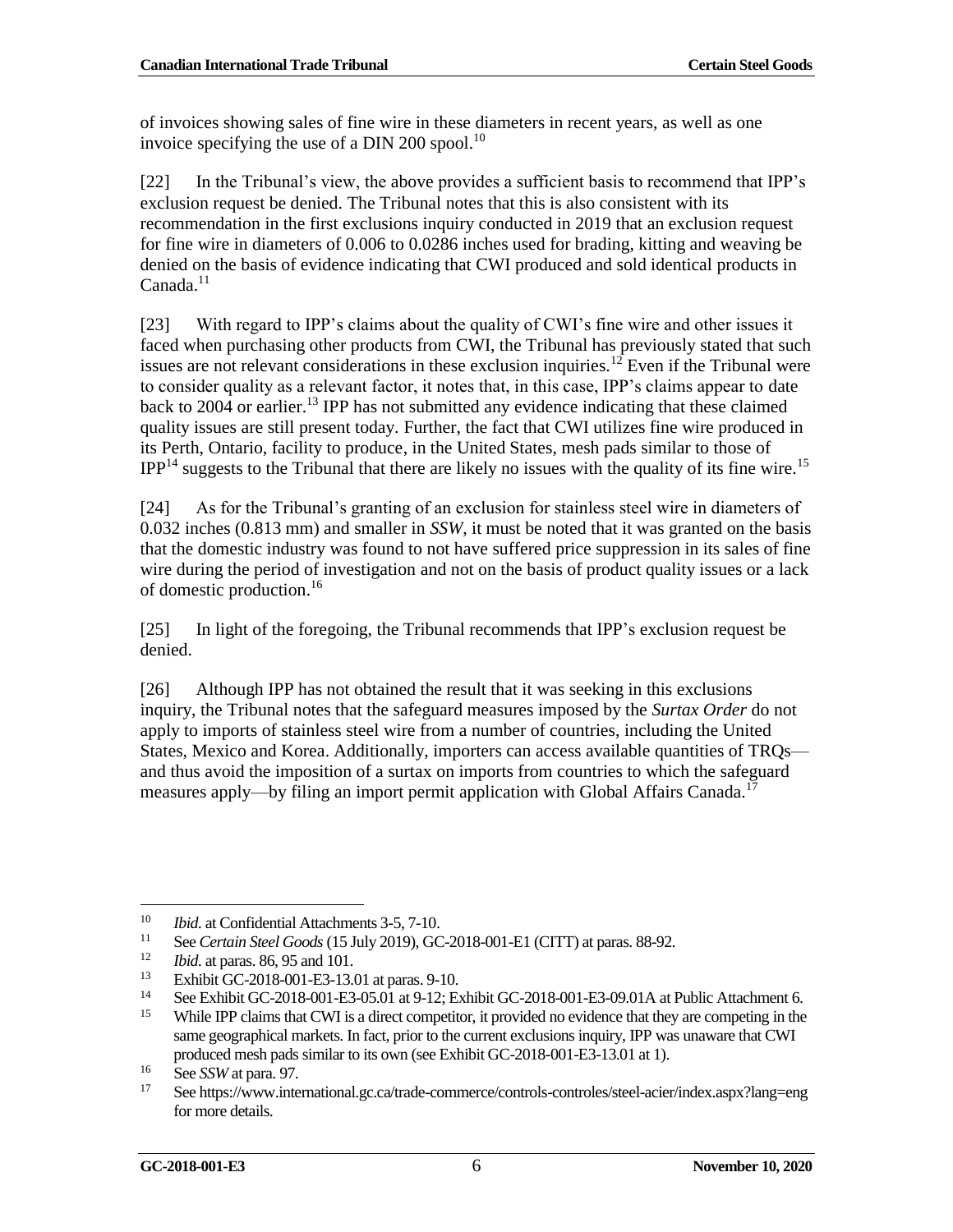of invoices showing sales of fine wire in these diameters in recent years, as well as one invoice specifying the use of a DIN 200 spool.<sup>10</sup>

[22] In the Tribunal's view, the above provides a sufficient basis to recommend that IPP's exclusion request be denied. The Tribunal notes that this is also consistent with its recommendation in the first exclusions inquiry conducted in 2019 that an exclusion request for fine wire in diameters of 0.006 to 0.0286 inches used for brading, kitting and weaving be denied on the basis of evidence indicating that CWI produced and sold identical products in  $C$ anada. $11$ 

[23] With regard to IPP's claims about the quality of CWI's fine wire and other issues it faced when purchasing other products from CWI, the Tribunal has previously stated that such issues are not relevant considerations in these exclusion inquiries.<sup>12</sup> Even if the Tribunal were to consider quality as a relevant factor, it notes that, in this case, IPP's claims appear to date back to 2004 or earlier. <sup>13</sup> IPP has not submitted any evidence indicating that these claimed quality issues are still present today. Further, the fact that CWI utilizes fine wire produced in its Perth, Ontario, facility to produce, in the United States, mesh pads similar to those of  $IPP<sup>14</sup>$  suggests to the Tribunal that there are likely no issues with the quality of its fine wire.<sup>15</sup>

[24] As for the Tribunal's granting of an exclusion for stainless steel wire in diameters of 0.032 inches (0.813 mm) and smaller in *SSW*, it must be noted that it was granted on the basis that the domestic industry was found to not have suffered price suppression in its sales of fine wire during the period of investigation and not on the basis of product quality issues or a lack of domestic production. 16

[25] In light of the foregoing, the Tribunal recommends that IPP's exclusion request be denied.

[26] Although IPP has not obtained the result that it was seeking in this exclusions inquiry, the Tribunal notes that the safeguard measures imposed by the *Surtax Order* do not apply to imports of stainless steel wire from a number of countries, including the United States, Mexico and Korea. Additionally, importers can access available quantities of TRQs and thus avoid the imposition of a surtax on imports from countries to which the safeguard measures apply—by filing an import permit application with Global Affairs Canada.<sup>17</sup>

 <sup>10</sup> *Ibid*. at Confidential Attachments 3-5, 7-10.

<sup>&</sup>lt;sup>11</sup> See *Certain Steel Goods* (15 July 2019), GC-2018-001-E1 (CITT) at paras. 88-92.

<sup>&</sup>lt;sup>12</sup> *Ibid.* at paras. 86, 95 and 101.<br><sup>13</sup> Exhibit CC 2018 001 E2 12.0

 $13$  Exhibit GC-2018-001-E3-13.01 at paras. 9-10.<br>  $14$  See Exhibit GC-2018-001-E2-05-01 at 0.12: E3

<sup>14</sup> See Exhibit GC-2018-001-E3-05.01 at 9-12; Exhibit GC-2018-001-E3-09.01A at Public Attachment 6.

<sup>&</sup>lt;sup>15</sup> While IPP claims that CWI is a direct competitor, it provided no evidence that they are competing in the same geographical markets. In fact, prior to the current exclusions inquiry, IPP was unaware that CWI produced mesh pads similar to its own (see Exhibit GC-2018-001-E3-13.01 at 1).

 $\frac{16}{17}$  See *SSW* at para. 97.

<sup>17</sup> See https://www.international.gc.ca/trade-commerce/controls-controles/steel-acier/index.aspx?lang=eng for more details.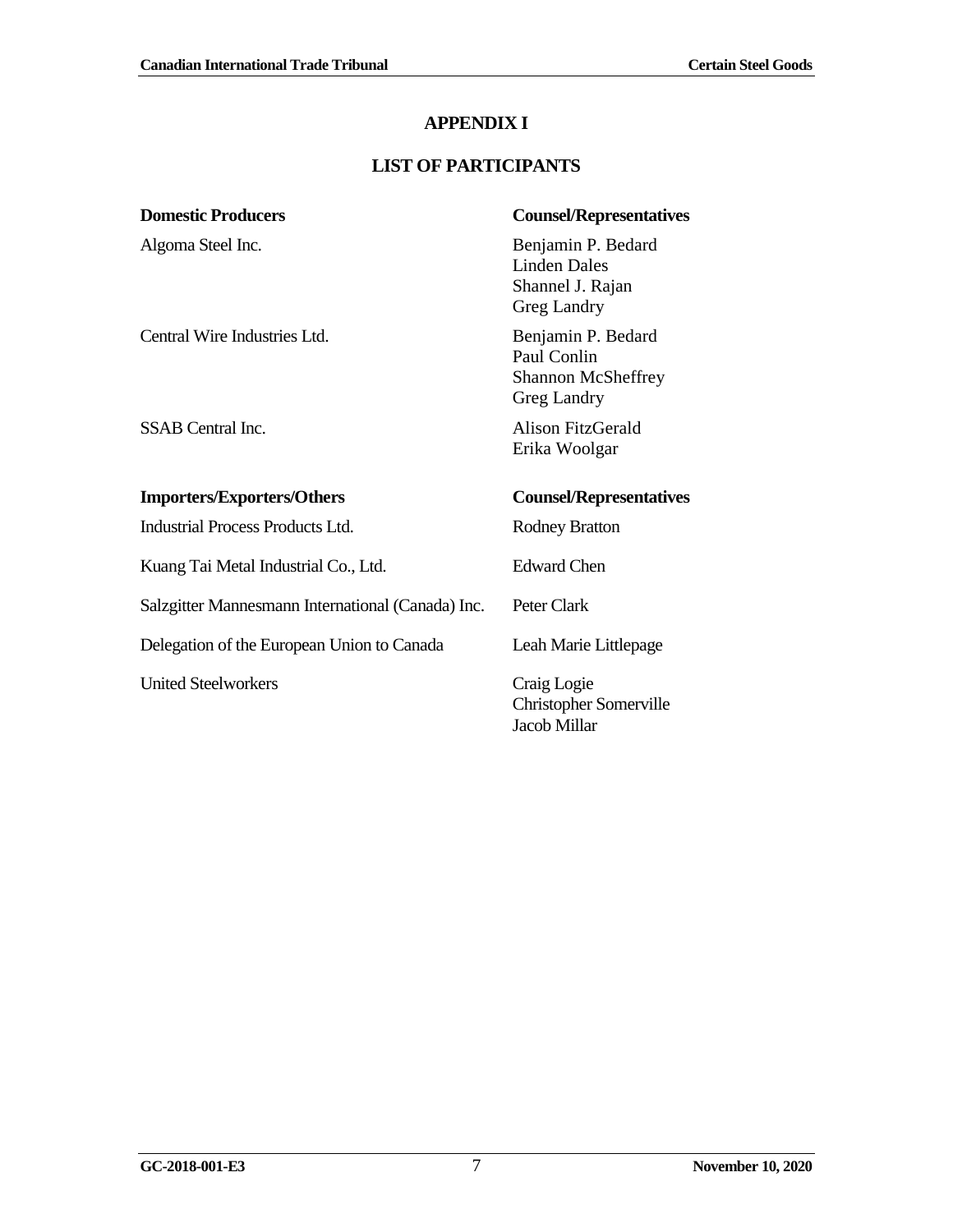## **APPENDIX I**

## **LIST OF PARTICIPANTS**

<span id="page-14-0"></span>

| <b>Domestic Producers</b>                         | <b>Counsel/Representatives</b>                                                |
|---------------------------------------------------|-------------------------------------------------------------------------------|
| Algoma Steel Inc.                                 | Benjamin P. Bedard<br><b>Linden Dales</b><br>Shannel J. Rajan<br>Greg Landry  |
| Central Wire Industries Ltd.                      | Benjamin P. Bedard<br>Paul Conlin<br><b>Shannon McSheffrey</b><br>Greg Landry |
| <b>SSAB</b> Central Inc.                          | Alison FitzGerald<br>Erika Woolgar                                            |
|                                                   |                                                                               |
| <b>Importers/Exporters/Others</b>                 | <b>Counsel/Representatives</b>                                                |
| <b>Industrial Process Products Ltd.</b>           | <b>Rodney Bratton</b>                                                         |
| Kuang Tai Metal Industrial Co., Ltd.              | <b>Edward Chen</b>                                                            |
| Salzgitter Mannesmann International (Canada) Inc. | Peter Clark                                                                   |
| Delegation of the European Union to Canada        | Leah Marie Littlepage                                                         |